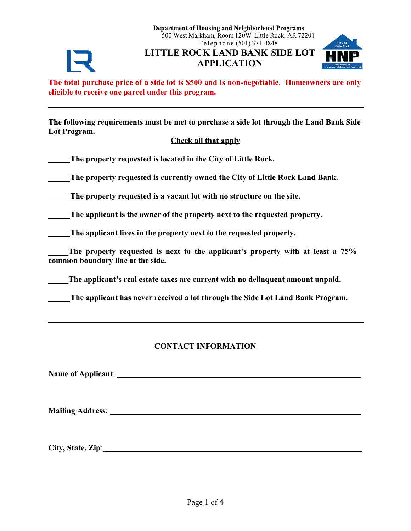**Department of Housing and Neighborhood Programs** 500 West Markham, Room 120W Little Rock, AR 72201 Telephone (501) 371-4848

**LITTLE ROCK LAND BANK SIDE LOT APPLICATION**



**The total purchase price of a side lot is \$500 and is non-negotiable. Homeowners are only eligible to receive one parcel under this program.**

**The following requirements must be met to purchase a side lot through the Land Bank Side Lot Program.**

# **Check all that apply**

**The property requested is located in the City of Little Rock.**

**The property requested is currently owned the City of Little Rock Land Bank.**

**The property requested is a vacant lot with no structure on the site.**

**The applicant is the owner of the property next to the requested property.**

**The applicant lives in the property next to the requested property.**

**\_\_\_\_\_The property requested is next to the applicant's property with at least a 75% common boundary line at the side.**

**\_\_\_\_\_The applicant's real estate taxes are current with no delinquent amount unpaid.**

**The applicant has never received a lot through the Side Lot Land Bank Program.**

# **CONTACT INFORMATION**

**Name of Applicant**:

**Mailing Address**:

**City, State, Zip**: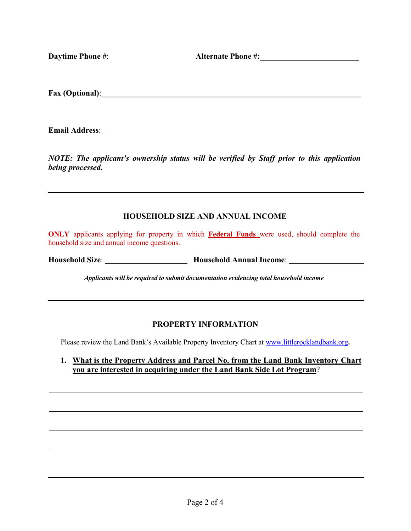**Daytime Phone #: Alternate Phone #: Alternate Phone #: Alternate Phone #: Alternate Phone #: Alternate Phone #: Alternate Phone #: Alternate Phone #: Alternate Phone #: Alternate Ph** 

**Fax (Optional)**:

**Email Address**:

*NOTE: The applicant's ownership status will be verified by Staff prior to this application being processed.*

# **HOUSEHOLD SIZE AND ANNUAL INCOME**

**ONLY** applicants applying for property in which **Federal Funds** were used, should complete the household size and annual income questions.

**Household Size**: **Household Annual Income**:

*Applicants will be required to submit documentation evidencing total household income*

#### **PROPERTY INFORMATION**

Please review the Land Bank's Available Property Inventory Chart at [www.littlerocklandbank.org](http://www.littlerocklandbank.org/)**.**

**1. What is the Property Address and Parcel No. from the Land Bank Inventory Chart you are interested in acquiring under the Land Bank Side Lot Program**?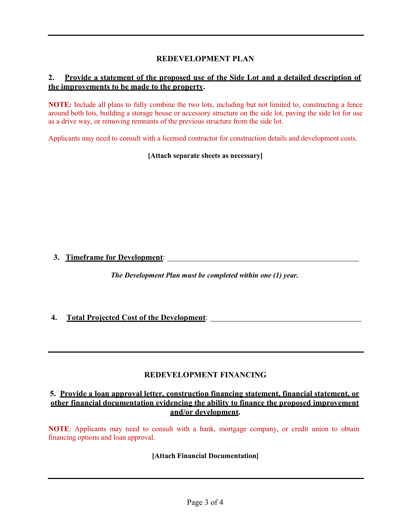# **REDEVELOPMENT PLAN**

#### **2. Provide a statement of the proposed use of the Side Lot and a detailed description of the improvements to be made to the property.**

**NOTE***:* Include all plans to fully combine the two lots, including but not limited to, constructing a fence around both lots, building a storage house or accessory structure on the side lot, paving the side lot for use as a drive way, or removing remnants of the previous structure from the side lot.

Applicants may need to consult with a licensed contractor for construction details and development costs.

**[Attach separate sheets as necessary]**

**3. Timeframe for Development**:

*The Development Plan must be completed within one (1) year.*

#### **4. Total Projected Cost of the Development**:

#### **REDEVELOPMENT FINANCING**

#### **5. Provide a loan approval letter, construction financing statement, financial statement, or other financial documentation evidencing the ability to finance the proposed improvement and/or development.**

**NOTE**: Applicants may need to consult with a bank, mortgage company, or credit union to obtain financing options and loan approval.

#### **[Attach Financial Documentation]**